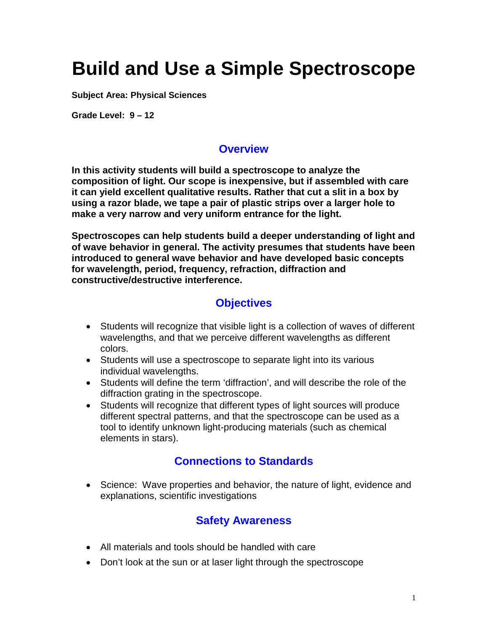# **Build and Use a Simple Spectroscope**

**Subject Area: Physical Sciences**

**Grade Level: 9 – 12**

#### **Overview**

**In this activity students will build a spectroscope to analyze the composition of light. Our scope is inexpensive, but if assembled with care it can yield excellent qualitative results. Rather that cut a slit in a box by using a razor blade, we tape a pair of plastic strips over a larger hole to make a very narrow and very uniform entrance for the light.**

**Spectroscopes can help students build a deeper understanding of light and of wave behavior in general. The activity presumes that students have been introduced to general wave behavior and have developed basic concepts for wavelength, period, frequency, refraction, diffraction and constructive/destructive interference.**

#### **Objectives**

- Students will recognize that visible light is a collection of waves of different wavelengths, and that we perceive different wavelengths as different colors.
- Students will use a spectroscope to separate light into its various individual wavelengths.
- Students will define the term 'diffraction', and will describe the role of the diffraction grating in the spectroscope.
- Students will recognize that different types of light sources will produce different spectral patterns, and that the spectroscope can be used as a tool to identify unknown light-producing materials (such as chemical elements in stars).

#### **Connections to Standards**

• Science: Wave properties and behavior, the nature of light, evidence and explanations, scientific investigations

## **Safety Awareness**

- All materials and tools should be handled with care
- Don't look at the sun or at laser light through the spectroscope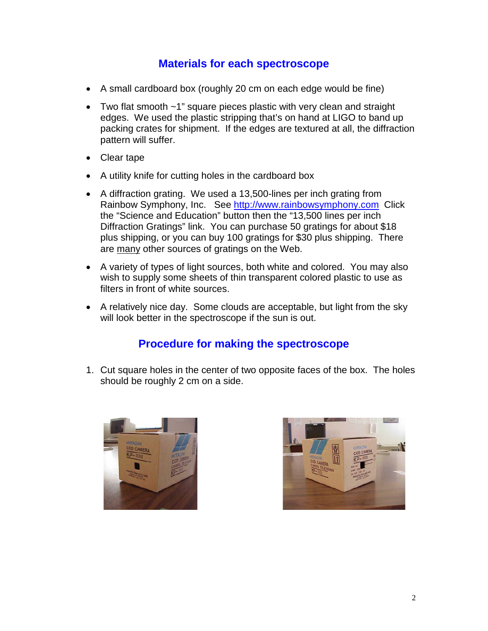#### **Materials for each spectroscope**

- A small cardboard box (roughly 20 cm on each edge would be fine)
- Two flat smooth ~1" square pieces plastic with very clean and straight edges. We used the plastic stripping that's on hand at LIGO to band up packing crates for shipment. If the edges are textured at all, the diffraction pattern will suffer.
- Clear tape
- A utility knife for cutting holes in the cardboard box
- A diffraction grating. We used a 13,500-lines per inch grating from Rainbow Symphony, Inc. See [http://www.rainbowsymphony.com](http://www.rainbowsymphony.com/) Click the "Science and Education" button then the "13,500 lines per inch Diffraction Gratings" link. You can purchase 50 gratings for about \$18 plus shipping, or you can buy 100 gratings for \$30 plus shipping. There are many other sources of gratings on the Web.
- A variety of types of light sources, both white and colored. You may also wish to supply some sheets of thin transparent colored plastic to use as filters in front of white sources.
- A relatively nice day. Some clouds are acceptable, but light from the sky will look better in the spectroscope if the sun is out.

## **Procedure for making the spectroscope**

1. Cut square holes in the center of two opposite faces of the box. The holes should be roughly 2 cm on a side.



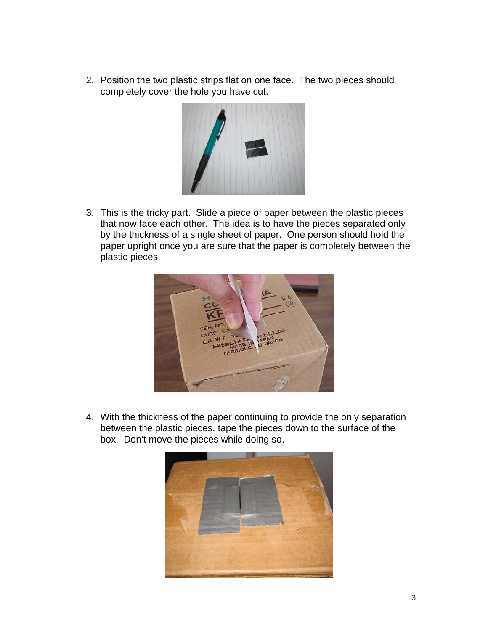2. Position the two plastic strips flat on one face. The two pieces should completely cover the hole you have cut.



3. This is the tricky part. Slide a piece of paper between the plastic pieces that now face each other. The idea is to have the pieces separated only by the thickness of a single sheet of paper. One person should hold the paper upright once you are sure that the paper is completely between the plastic pieces.



4. With the thickness of the paper continuing to provide the only separation between the plastic pieces, tape the pieces down to the surface of the box. Don't move the pieces while doing so.

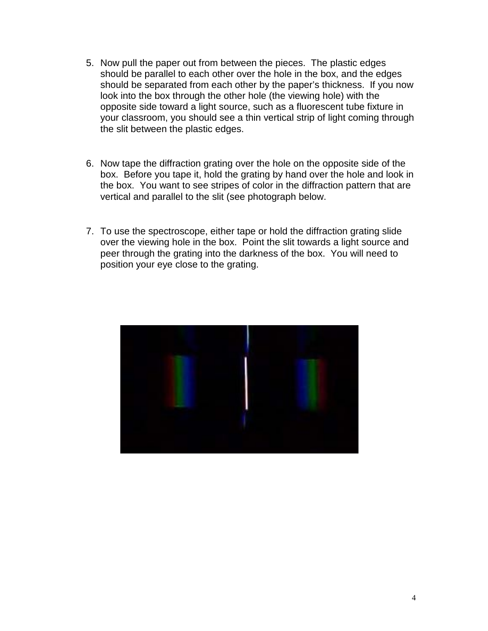- 5. Now pull the paper out from between the pieces. The plastic edges should be parallel to each other over the hole in the box, and the edges should be separated from each other by the paper's thickness. If you now look into the box through the other hole (the viewing hole) with the opposite side toward a light source, such as a fluorescent tube fixture in your classroom, you should see a thin vertical strip of light coming through the slit between the plastic edges.
- 6. Now tape the diffraction grating over the hole on the opposite side of the box. Before you tape it, hold the grating by hand over the hole and look in the box. You want to see stripes of color in the diffraction pattern that are vertical and parallel to the slit (see photograph below.
- 7. To use the spectroscope, either tape or hold the diffraction grating slide over the viewing hole in the box. Point the slit towards a light source and peer through the grating into the darkness of the box. You will need to position your eye close to the grating.

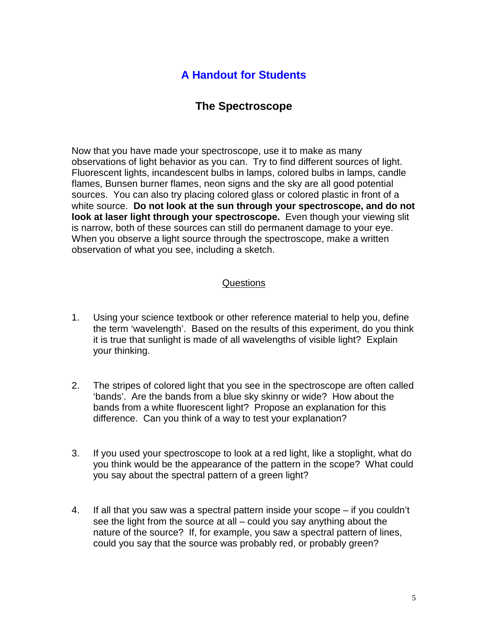## **A Handout for Students**

## **The Spectroscope**

Now that you have made your spectroscope, use it to make as many observations of light behavior as you can. Try to find different sources of light. Fluorescent lights, incandescent bulbs in lamps, colored bulbs in lamps, candle flames, Bunsen burner flames, neon signs and the sky are all good potential sources. You can also try placing colored glass or colored plastic in front of a white source. **Do not look at the sun through your spectroscope, and do not look at laser light through your spectroscope.** Even though your viewing slit is narrow, both of these sources can still do permanent damage to your eye. When you observe a light source through the spectroscope, make a written observation of what you see, including a sketch.

#### Questions

- 1. Using your science textbook or other reference material to help you, define the term 'wavelength'. Based on the results of this experiment, do you think it is true that sunlight is made of all wavelengths of visible light? Explain your thinking.
- 2. The stripes of colored light that you see in the spectroscope are often called 'bands'. Are the bands from a blue sky skinny or wide? How about the bands from a white fluorescent light? Propose an explanation for this difference. Can you think of a way to test your explanation?
- 3. If you used your spectroscope to look at a red light, like a stoplight, what do you think would be the appearance of the pattern in the scope? What could you say about the spectral pattern of a green light?
- 4. If all that you saw was a spectral pattern inside your scope if you couldn't see the light from the source at all – could you say anything about the nature of the source? If, for example, you saw a spectral pattern of lines, could you say that the source was probably red, or probably green?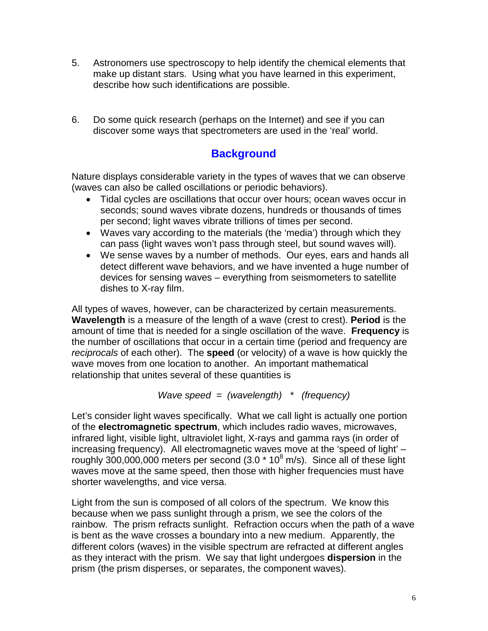- 5. Astronomers use spectroscopy to help identify the chemical elements that make up distant stars. Using what you have learned in this experiment, describe how such identifications are possible.
- 6. Do some quick research (perhaps on the Internet) and see if you can discover some ways that spectrometers are used in the 'real' world.

# **Background**

Nature displays considerable variety in the types of waves that we can observe (waves can also be called oscillations or periodic behaviors).

- Tidal cycles are oscillations that occur over hours; ocean waves occur in seconds; sound waves vibrate dozens, hundreds or thousands of times per second; light waves vibrate trillions of times per second.
- Waves vary according to the materials (the 'media') through which they can pass (light waves won't pass through steel, but sound waves will).
- We sense waves by a number of methods. Our eyes, ears and hands all detect different wave behaviors, and we have invented a huge number of devices for sensing waves – everything from seismometers to satellite dishes to X-ray film.

All types of waves, however, can be characterized by certain measurements. **Wavelength** is a measure of the length of a wave (crest to crest). **Period** is the amount of time that is needed for a single oscillation of the wave. **Frequency** is the number of oscillations that occur in a certain time (period and frequency are *reciprocals* of each other). The **speed** (or velocity) of a wave is how quickly the wave moves from one location to another. An important mathematical relationship that unites several of these quantities is

*Wave speed = (wavelength) \* (frequency)*

Let's consider light waves specifically. What we call light is actually one portion of the **electromagnetic spectrum**, which includes radio waves, microwaves, infrared light, visible light, ultraviolet light, X-rays and gamma rays (in order of increasing frequency). All electromagnetic waves move at the 'speed of light' – roughly  $300,000,000$  meters per second (3.0  $*$  10<sup>8</sup> m/s). Since all of these light waves move at the same speed, then those with higher frequencies must have shorter wavelengths, and vice versa.

Light from the sun is composed of all colors of the spectrum. We know this because when we pass sunlight through a prism, we see the colors of the rainbow. The prism refracts sunlight. Refraction occurs when the path of a wave is bent as the wave crosses a boundary into a new medium. Apparently, the different colors (waves) in the visible spectrum are refracted at different angles as they interact with the prism. We say that light undergoes **dispersion** in the prism (the prism disperses, or separates, the component waves).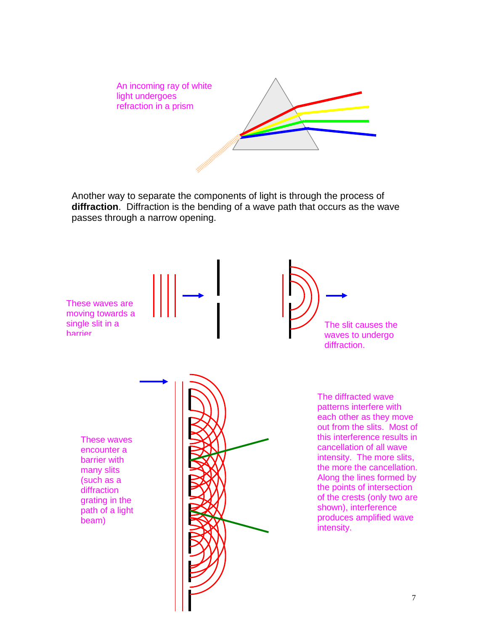

Another way to separate the components of light is through the process of **diffraction**. Diffraction is the bending of a wave path that occurs as the wave passes through a narrow opening.